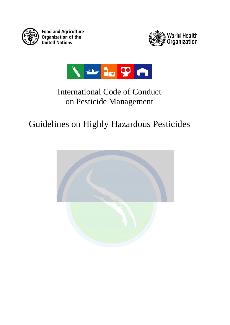

Food and Agriculture<br>Organization of the<br>United Nations





# International Code of Conduct on Pesticide Management

# Guidelines on Highly Hazardous Pesticides

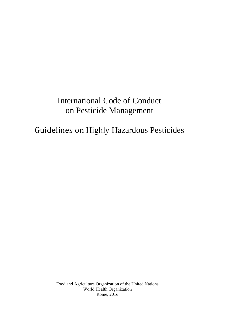# International Code of Conduct on Pesticide Management

# Guidelines on Highly Hazardous Pesticides

Food and Agriculture Organization of the United Nations World Health Organization Rome, 2016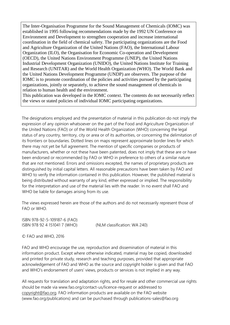The Inter-Organisation Programme for the Sound Management of Chemicals (IOMC) was established in 1995 following recommendations made by the 1992 UN Conference on Environment and Development to strengthen cooperation and increase international coordination in the field of chemical safety. The participating organizations are the Food and Agriculture Organization of the United Nations (FAO), the International Labour Organization (ILO), the Organisation for Economic Co-operation and Development (OECD), the United Nations Environment Programme (UNEP), the United Nations Industrial Development Organization (UNIDO), the United Nations Institute for Training and Research (UNITAR) and the World Health Organization (WHO). The World Bank and the United Nations Development Programme (UNDP) are observers. The purpose of the IOMC is to promote coordination of the policies and activities pursued by the participating organizations, jointly or separately, to achieve the sound management of chemicals in relation to human health and the environment.

This publication was developed in the IOMC context. The contents do not necessarily reflect the views or stated policies of individual IOMC participating organizations.

The designations employed and the presentation of material in this publication do not imply the expression of any opinion whatsoever on the part of the Food and Agriculture Organization of the United Nations (FAO) or of the World Health Organization (WHO) concerning the legal status of any country, territory, city or area or of its authorities, or concerning the delimitation of its frontiers or boundaries. Dotted lines on maps represent approximate border lines for which there may not yet be full agreement. The mention of specific companies or products of manufacturers, whether or not these have been patented, does not imply that these are or have been endorsed or recommended by FAO or WHO in preference to others of a similar nature that are not mentioned. Errors and omissions excepted, the names of proprietary products are distinguished by initial capital letters. All reasonable precautions have been taken by FAO and WHO to verify the information contained in this publication. However, the published material is being distributed without warranty of any kind, either expressed or implied. The responsibility for the interpretation and use of the material lies with the reader. In no event shall FAO and WHO be liable for damages arising from its use.

The views expressed herein are those of the authors and do not necessarily represent those of FAO or WHO.

ISBN 978-92-5-109187-6 (FAO) ISBN 978 92 4 151041 7 (WHO)

(NLM classification: WA 240)

© FAO and WHO, 2016

FAO and WHO encourage the use, reproduction and dissemination of material in this information product. Except where otherwise indicated, material may be copied, downloaded and printed for private study, research and teaching purposes, provided that appropriate acknowledgement of FAO and WHO as the source and copyright holder is given and that FAO and WHO's endorsement of users' views, products or services is not implied in any way.

All requests for translation and adaptation rights, and for resale and other commercial use rights [should](mailto:copyright@fao.org) be made via www.fao.org/contact-us/licence-request or addressed to copyright@fao.org. FAO information products are available on the FAO website (www.fao.org/publications) and can be purchased through publications-sales@fao.org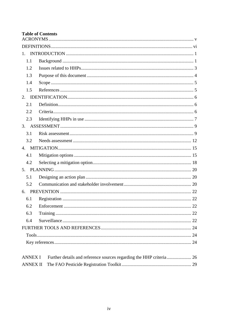# **Table of Contents**

| 1.              |  |
|-----------------|--|
| 1.1             |  |
| 1.2             |  |
| 1.3             |  |
| 1.4             |  |
| 1.5             |  |
| 2.              |  |
| 2.1             |  |
| 2.2             |  |
| 2.3             |  |
| 3.              |  |
| 3.1             |  |
| 3.2             |  |
| $\mathbf{4}$ .  |  |
| 4.1             |  |
| 4.2             |  |
|                 |  |
| 5.1             |  |
| 5.2             |  |
| 6.              |  |
| 6.1             |  |
| 6.2             |  |
| 6.3             |  |
| 6.4             |  |
|                 |  |
|                 |  |
|                 |  |
|                 |  |
| <b>ANNEX I</b>  |  |
| <b>ANNEX II</b> |  |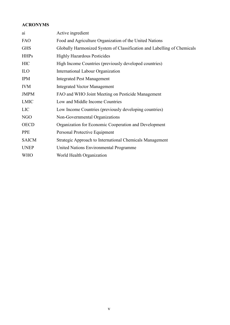# <span id="page-4-0"></span>**ACRONYMS**

| a <sub>1</sub> | Active ingredient                                                       |
|----------------|-------------------------------------------------------------------------|
| <b>FAO</b>     | Food and Agriculture Organization of the United Nations                 |
| <b>GHS</b>     | Globally Harmonized System of Classification and Labelling of Chemicals |
| <b>HHPs</b>    | <b>Highly Hazardous Pesticides</b>                                      |
| <b>HIC</b>     | High Income Countries (previously developed countries)                  |
| <b>ILO</b>     | International Labour Organization                                       |
| <b>IPM</b>     | <b>Integrated Pest Management</b>                                       |
| <b>IVM</b>     | <b>Integrated Vector Management</b>                                     |
| <b>JMPM</b>    | FAO and WHO Joint Meeting on Pesticide Management                       |
| <b>LMIC</b>    | Low and Middle Income Countries                                         |
| LIC            | Low Income Countries (previously developing countries)                  |
| NGO            | Non-Governmental Organizations                                          |
| <b>OECD</b>    | Organization for Economic Cooperation and Development                   |
| <b>PPE</b>     | Personal Protective Equipment                                           |
| <b>SAICM</b>   | Strategic Approach to International Chemicals Management                |
| <b>UNEP</b>    | United Nations Environmental Programme                                  |
| <b>WHO</b>     | World Health Organization                                               |
|                |                                                                         |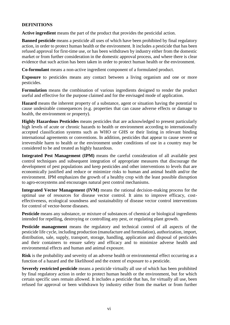#### <span id="page-5-0"></span>**DEFINITIONS**

**Active ingredient** means the part of the product that provides the pesticidal action.

**Banned pesticide** means a pesticide all uses of which have been prohibited by final regulatory action, in order to protect human health or the environment. It includes a pesticide that has been refused approval for first-time use, or has been withdrawn by industry either from the domestic market or from further consideration in the domestic approval process, and where there is clear evidence that such action has been taken in order to protect human health or the environment.

**Co-formulant** means a non-active ingredient component of a formulated product.

**Exposure** to pesticides means any contact between a living organism and one or more pesticides.

**Formulation** means the combination of various ingredients designed to render the product useful and effective for the purpose claimed and for the envisaged mode of application.

**Hazard** means the inherent property of a substance, agent or situation having the potential to cause undesirable consequences (e.g. properties that can cause adverse effects or damage to health, the environment or property).

**Highly Hazardous Pesticides** means pesticides that are acknowledged to present particularly high levels of acute or chronic hazards to health or environment according to internationally accepted classification systems such as WHO or GHS or their listing in relevant binding international agreements or conventions. In addition, pesticides that appear to cause severe or irreversible harm to health or the environment under conditions of use in a country may be considered to be and treated as highly hazardous.

**Integrated Pest Management (IPM)** means the careful consideration of all available pest control techniques and subsequent integration of appropriate measures that discourage the development of pest populations and keep pesticides and other interventions to levels that are economically justified and reduce or minimize risks to human and animal health and/or the environment. IPM emphasizes the growth of a healthy crop with the least possible disruption to agro-ecosystems and encourages natural pest control mechanisms.

**Integrated Vector Management (IVM)** means the rational decision-making process for the optimal use of resources for disease vector control. It aims to improve efficacy, costeffectiveness, ecological soundness and sustainability of disease vector control interventions for control of vector-borne diseases.

**Pesticide** means any substance, or mixture of substances of chemical or biological ingredients intended for repelling, destroying or controlling any pest, or regulating plant growth.

**Pesticide management** means the regulatory and technical control of all aspects of the pesticide life cycle, including production (manufacture and formulation), authorization, import, distribution, sale, supply, transport, storage, handling, application and disposal of pesticides and their containers to ensure safety and efficacy and to minimize adverse health and environmental effects and human and animal exposure.

**Risk** is the probability and severity of an adverse health or environmental effect occurring as a function of a hazard and the likelihood and the extent of exposure to a pesticide.

**Severely restricted pesticide** means a pesticide virtually all use of which has been prohibited by final regulatory action in order to protect human health or the environment, but for which certain specific uses remain allowed. It includes a pesticide that has, for virtually all use, been refused for approval or been withdrawn by industry either from the market or from further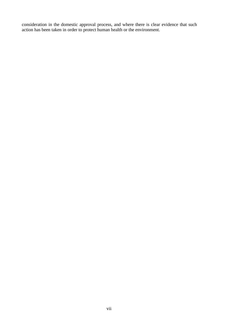consideration in the domestic approval process, and where there is clear evidence that such action has been taken in order to protect human health or the environment.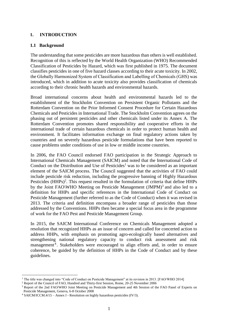## <span id="page-7-0"></span>**1. INTRODUCTION**

#### <span id="page-7-1"></span>**1.1 Background**

The understanding that some pesticides are more hazardous than others is well established. Recognition of this is reflected by the World Health Organization (WHO) Recommended Classification of Pesticides by Hazard, which was first published in 1975. The document classifies pesticides in one of five hazard classes according to their acute toxicity. In 2002, the Globally Harmonized System of Classification and Labelling of Chemicals (GHS) was introduced, which in addition to acute toxicity also provides classification of chemicals according to their chronic health hazards and environmental hazards.

Broad international concerns about health and environmental hazards led to the establishment of the Stockholm Convention on Persistent Organic Pollutants and the Rotterdam Convention on the Prior Informed Consent Procedure for Certain Hazardous Chemicals and Pesticides in International Trade. The Stockholm Convention agrees on the phasing out of persistent pesticides and other chemicals listed under its Annex A. The Rotterdam Convention promotes shared responsibility and cooperative efforts in the international trade of certain hazardous chemicals in order to protect human health and environment. It facilitates information exchange on final regulatory actions taken by countries and on severely hazardous pesticide formulations that have been reported to cause problems under conditions of use in low or middle income countries.

In 2006, the FAO Council endorsed FAO participation in the Strategic Approach to International Chemicals Management (SAICM) and noted that the International Code of Conduct on the Distribution and Use of Pesticides<sup>1</sup> was to be considered as an important element of the SAICM process. The Council suggested that the activities of FAO could include pesticide risk reduction, including the progressive banning of Highly Hazardous Pesticides (HHPs)<sup>2</sup>. This request resulted in the formulation of criteria that define HHPs by the Joint FAO\WHO Meeting on Pesticide Management (JMPM)<sup>3</sup> and also led to a definition for HHPs and specific references in the International Code of Conduct on Pesticide Management (further referred to as the Code of Conduct) when it was revised in 2013. The criteria and definition encompass a broader range of pesticides than those addressed by the Conventions. HHPs then became a special focus area in the programme of work for the FAO Pest and Pesticide Management Group.

In 2015, the SAICM International Conference on Chemicals Management adopted a resolution that recognized HHPs as an issue of concern and called for concerted action to address HHPs, with emphasis on promoting agro-ecologically based alternatives and strengthening national regulatory capacity to conduct risk assessment and risk management<sup>4</sup>. Stakeholders were encouraged to align efforts and, in order to ensure coherence, be guided by the definition of HHPs in the Code of Conduct and by these guidelines.

<sup>1</sup> <sup>1</sup> The title was changed into "Code of Conduct on Pesticide Management" at its revision in 2013. [FAO/WHO 2014]

<sup>&</sup>lt;sup>2</sup> Report of the Council of FAO, Hundred and Thirty-first Session, Rome, 20-25 November 2006

<sup>3</sup> Report of the 2nd FAO/WHO Joint Meeting on Pesticide Management and 4th Session of the FAO Panel of Experts on Pesticide Management, Geneva, 6-8 October 2008

<sup>4</sup> SAICM/ICCM.4/15 – Annex I - Resolution on highly hazardous pesticides (IV/3).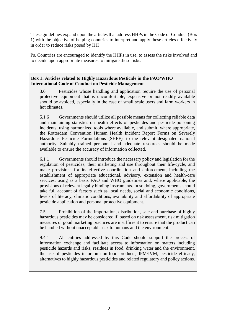These guidelines expand upon the articles that address HHPs in the Code of Conduct (Box 1) with the objective of helping countries to interpret and apply these articles effectively in order to reduce risks posed by HH

Ps. Countries are encouraged to identify the HHPs in use, to assess the risks involved and to decide upon appropriate measures to mitigate these risks.

#### **Box 1: Articles related to Highly Hazardous Pesticide in the FAO/WHO International Code of Conduct on Pesticide Management**

3.6 Pesticides whose handling and application require the use of personal protective equipment that is uncomfortable, expensive or not readily available should be avoided, especially in the case of small scale users and farm workers in hot climates.

5.1.6 Governments should utilize all possible means for collecting reliable data and maintaining statistics on health effects of pesticides and pesticide poisoning incidents, using harmonized tools where available, and submit, where appropriate, the Rotterdam Convention Human Health Incident Report Forms on Severely Hazardous Pesticide Formulations (SHPF), to the relevant designated national authority. Suitably trained personnel and adequate resources should be made available to ensure the accuracy of information collected.

6.1.1 Governments should introduce the necessary policy and legislation for the regulation of pesticides, their marketing and use throughout their life-cycle, and make provisions for its effective coordination and enforcement, including the establishment of appropriate educational, advisory, extension and health-care services, using as a basis FAO and WHO guidelines and, where applicable, the provisions of relevant legally binding instruments. In so doing, governments should take full account of factors such as local needs, social and economic conditions, levels of literacy, climatic conditions, availability and affordability of appropriate pesticide application and personal protective equipment.

7.5 Prohibition of the importation, distribution, sale and purchase of highly hazardous pesticides may be considered if, based on risk assessment, risk mitigation measures or good marketing practices are insufficient to ensure that the product can be handled without unacceptable risk to humans and the environment.

9.4.1 All entities addressed by this Code should support the process of information exchange and facilitate access to information on matters including pesticide hazards and risks, residues in food, drinking water and the environment, the use of pesticides in or on non-food products, IPM/IVM, pesticide efficacy, alternatives to highly hazardous pesticides and related regulatory and policy actions.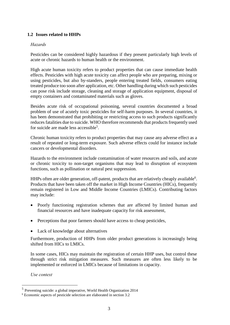# <span id="page-9-0"></span>**1.2 Issues related to HHPs**

## *Hazards*

Pesticides can be considered highly hazardous if they present particularly high levels of acute or chronic hazards to human health or the environment.

High acute human toxicity refers to product properties that can cause immediate health effects. Pesticides with high acute toxicity can affect people who are preparing, mixing or using pesticides, but also by-standers, people entering treated fields, consumers eating treated produce too soon after application, etc. Other handling during which such pesticides can pose risk include storage, cleaning and storage of application equipment, disposal of empty containers and contaminated materials such as gloves.

Besides acute risk of occupational poisoning, several countries documented a broad problem of use of acutely toxic pesticides for self-harm purposes. In several countries, it has been demonstrated that prohibiting or restricting access to such products significantly reduces fatalities due to suicide. WHO therefore recommends that products frequently used for suicide are made less accessible<sup>5</sup>.

Chronic human toxicity refers to product properties that may cause any adverse effect as a result of repeated or long-term exposure. Such adverse effects could for instance include cancers or developmental disorders.

Hazards to the environment include contamination of water resources and soils, and acute or chronic toxicity to non-target organisms that may lead to disruption of ecosystem functions, such as pollination or natural pest suppression.

HHPs often are older generation, off-patent, products that are relatively cheaply available<sup>6</sup>. Products that have been taken off the market in High Income Countries (HICs), frequently remain registered in Low and Middle Income Countries (LMICs). Contributing factors may include:

- Poorly functioning registration schemes that are affected by limited human and financial resources and have inadequate capacity for risk assessment,
- Perceptions that poor farmers should have access to cheap pesticides,
- Lack of knowledge about alternatives

Furthermore, production of HHPs from older product generations is increasingly being shifted from HICs to LMICs.

In some cases, HICs may maintain the registration of certain HHP uses, but control these through strict risk mitigation measures. Such measures are often less likely to be implemented or enforced in LMICs because of limitations in capacity.

*Use context*

1

<sup>5</sup> Preventing suicide: a global imperative, World Health Organization 2014

<sup>6</sup> Economic aspects of pesticide selection are elaborated in section 3.2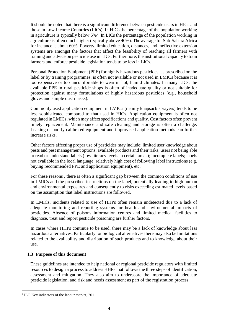It should be noted that there is a significant difference between pesticide users in HICs and those in Low Income Countries (LICs). In HICs the percentage of the population working in agriculture is typically below  $5\%$ <sup>7</sup>. In LICs the percentage of the population working in agriculture is often much higher (typically above 40%). The average for Sub-Sahara Africa for instance is about 60%. Poverty, limited education, distances, and ineffective extension systems are amongst the factors that affect the feasibility of reaching all farmers with training and advice on pesticide use in LICs. Furthermore, the institutional capacity to train farmers and enforce pesticide legislation tends to be less in LICs.

Personal Protection Equipment (PPE) for highly hazardous pesticides, as prescribed on the label or by training programmes, is often not available or not used in LMICs because it is too expensive or too uncomfortable to wear in hot, humid climates. In many LICs, the available PPE in rural pesticide shops is often of inadequate quality or not suitable for protection against many formulations of highly hazardous pesticides (e.g., household gloves and simple dust masks).

Commonly used application equipment in LMICs (mainly knapsack sprayers) tends to be less sophisticated compared to that used in HICs. Application equipment is often not regulated in LMICs, which may affect specifications and quality. Cost factors often prevent timely replacement. Maintenance and safe cleaning and storage is often a challenge. Leaking or poorly calibrated equipment and improvised application methods can further increase risks.

Other factors affecting proper use of pesticides may include: limited user knowledge about pests and pest management options, available products and their risks; users not being able to read or understand labels (low literacy levels in certain areas); incomplete labels; labels not available in the local language; relatively high cost of following label instructions (e.g. buying recommended PPE and application equipment), etc.

For these reasons , there is often a significant gap between the common conditions of use in LMICs and the prescribed instructions on the label, potentially leading to high human and environmental exposures and consequently to risks exceeding estimated levels based on the assumption that label instructions are followed.

In LMICs, incidents related to use of HHPs often remain undetected due to a lack of adequate monitoring and reporting systems for health and environmental impacts of pesticides. Absence of poisons information centres and limited medical facilities to diagnose, treat and report pesticide poisoning are further factors.

In cases where HHPs continue to be used, there may be a lack of knowledge about less hazardous alternatives. Particularly for biological alternatives there may also be limitations related to the availability and distribution of such products and to knowledge about their use.

## <span id="page-10-0"></span>**1.3 Purpose of this document**

These guidelines are intended to help national or regional pesticide regulators with limited resources to design a process to address HHPs that follows the three steps of identification, assessment and mitigation. They also aim to underscore the importance of adequate pesticide legislation, and risk and needs assessment as part of the registration process.

<sup>&</sup>lt;sup>7</sup> ILO Key indicators of the labour market, 2011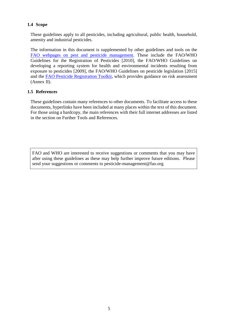# <span id="page-11-0"></span>**1.4 Scope**

These guidelines apply to all pesticides, including agricultural, public health, household, amenity and industrial pesticides.

The information in this document is supplemented by other guidelines and tools on the [FAO webpages on pest and pesticide management.](http://www.fao.org/agriculture/crops/thematic-sitemap/theme/pests/code/list-guide-new/en/) These include the FAO/WHO Guidelines for the Registration of Pesticides [2010], the FAO/WHO Guidelines on developing a reporting system for health and environmental incidents resulting from exposure to pesticides [2009], the FAO/WHO Guidelines on pesticide legislation [2015] and the [FAO Pesticide Registration Toolkit,](http://www.fao.org/pesticide-registration-toolkit/tool) which provides guidance on risk assessment (Annex II).

## <span id="page-11-1"></span>**1.5 References**

These guidelines contain many references to other documents. To facilitate access to these documents, hyperlinks have been included at many places within the text of this document. For those using a hardcopy, the main references with their full internet addresses are listed in the section on Further Tools and References.

FAO and WHO are interested to receive suggestions or comments that you may have after using these guidelines as these may help further improve future editions. Please send your suggestions or comments to pesticide-management@fao.org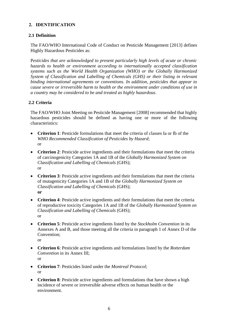# <span id="page-12-0"></span>**2. IDENTIFICATION**

# <span id="page-12-1"></span>**2.1 Definition**

The FAO/WHO International Code of Conduct on Pesticide Management [2013] defines Highly Hazardous Pesticides as:

P*esticides that are acknowledged to present particularly high levels of acute or chronic hazards to health or environment according to internationally accepted classification systems such as the World Health Organization (WHO) or the Globally Harmonized System of Classification and Labelling of Chemicals (GHS) or their listing in relevant binding international agreements or conventions. In addition, pesticides that appear to cause severe or irreversible harm to health or the environment under conditions of use in a country may be considered to be and treated as highly hazardous*.

# <span id="page-12-2"></span>**2.2 Criteria**

The FAO/WHO Joint Meeting on Pesticide Management [2008] recommended that highly hazardous pesticides should be defined as having one or more of the following characteristics:

- **Criterion 1**: Pesticide formulations that meet the criteria of classes Ia or Ib of the *WHO Recommended Classification of Pesticides by Hazard*; or
- **Criterion 2**: Pesticide active ingredients and their formulations that meet the criteria of carcinogenicity Categories 1A and 1B of the *Globally Harmonized System on Classification and Labelling of Chemicals* (GHS); or
- **Criterion 3**: Pesticide active ingredients and their formulations that meet the criteria of mutagenicity Categories 1A and 1B of the *Globally Harmonized System on Classification and Labelling of Chemicals* (GHS); **or**
- **Criterion 4**: Pesticide active ingredients and their formulations that meet the criteria of reproductive toxicity Categories 1A and 1B of the *Globally Harmonized System on Classification and Labelling of Chemicals* (GHS); or
- **Criterion 5**: Pesticide active ingredients listed by the *Stockholm Convention* in its Annexes A and B, and those meeting all the criteria in paragraph 1 of Annex D of the Convention; or
- **Criterion 6**: Pesticide active ingredients and formulations listed by the *Rotterdam Convention* in its Annex III; or
- **Criterion 7**: Pesticides listed under the *Montreal Protocol*; or
- **Criterion 8**: Pesticide active ingredients and formulations that have shown a high incidence of severe or irreversible adverse effects on human health or the environment.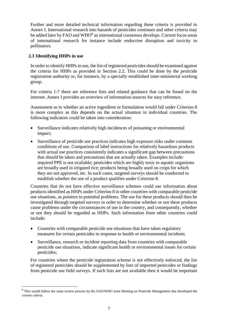Further and more detailed technical information regarding these criteria is provided in Annex I. International research into hazards of pesticides continues and other criteria may be added later by FAO and WHO $^8$  as international consensus develops. Current focus areas of international research for instance include endocrine disruption and toxicity to pollinators.

# <span id="page-13-0"></span>**2.3 Identifying HHPs in use**

<u>.</u>

In order to identify HHPs in use, the list of registered pesticides should be examined against the criteria for HHPs as provided in Section 2.2. This could be done by the pesticide registration authority or, for instance, by a specially established inter-ministerial working group.

For criteria 1-7 there are reference lists and related guidance that can be found on the internet. Annex I provides an overview of information sources for easy reference.

Assessment as to whether an active ingredient or formulation would fall under Criterion 8 is more complex as this depends on the actual situation in individual countries. The following indicators could be taken into consideration:

- Surveillance indicates relatively high incidences of poisoning or environmental impact;
- Surveillance of pesticide use practices indicates high exposure risks under common conditions of use. Comparison of label instructions for relatively hazardous products with actual use practices consistently indicates a significant gap between precautions that should be taken and precautions that are actually taken. Examples include: required PPE is not available; pesticides which are highly toxic to aquatic organisms are broadly used in irrigated rice; products being broadly used on crops for which they are not approved, etc. In such cases, targeted surveys should be conducted to establish whether the use of a product qualifies under Criterion 8.

Countries that do not have effective surveillance schemes could use information about products identified as HHPs under Criterion 8 in other countries with comparable pesticide use situations, as pointers to potential problems. The use for these products should then be investigated through targeted surveys in order to determine whether or not these products cause problems under the circumstances of use in the country, and consequently, whether or not they should be regarded as HHPs. Such information from other countries could include:

- Countries with comparable pesticide use situations that have taken regulatory measures for certain pesticides in response to health or environmental incidents.
- Surveillance, research or incident reporting data from countries with comparable pesticide use situations, indicate significant health or environmental issues for certain pesticides;

For countries where the pesticide registration scheme is not effectively enforced, the list of registered pesticides should be supplemented by lists of imported pesticides or findings from pesticide use field surveys. If such lists are not available then it would be important

<sup>&</sup>lt;sup>8</sup> This would follow the same review process by the FAO/WHO Joint Meeting on Pesticide Management that developed the current criteria.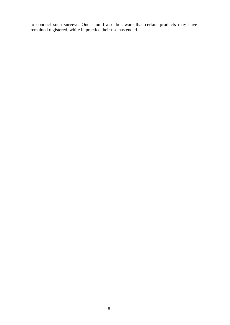to conduct such surveys. One should also be aware that certain products may have remained registered, while in practice their use has ended.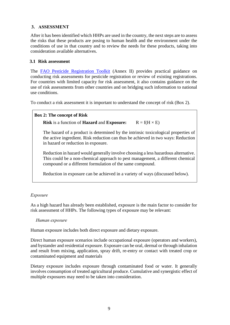# <span id="page-15-0"></span>**3. ASSESSMENT**

After it has been identified which HHPs are used in the country, the next steps are to assess the risks that these products are posing to human health and the environment under the conditions of use in that country and to review the needs for these products, taking into consideration available alternatives.

## <span id="page-15-1"></span> **3.1 Risk assessment**

The [FAO Pesticide Registration Toolkit](http://www.fao.org/pesticide-registration-toolkit/tool) (Annex II) provides practical guidance on conducting risk assessments for pesticide registration or review of existing registrations. For countries with limited capacity for risk assessment, it also contains guidance on the use of risk assessments from other countries and on bridging such information to national use conditions.

To conduct a risk assessment it is important to understand the concept of risk (Box 2).

## **Box 2: The concept of Risk**

**Risk** is a function of **Hazard** and **Exposure:**  $R = f(H \times E)$ 

The hazard of a product is determined by the intrinsic toxicological properties of the active ingredient. Risk reduction can thus be achieved in two ways: Reduction in hazard or reduction in exposure.

Reduction in hazard would generally involve choosing a less hazardous alternative. This could be a non-chemical approach to pest management, a different chemical compound or a different formulation of the same compound.

Reduction in exposure can be achieved in a variety of ways (discussed below).

## *Exposure*

As a high hazard has already been established, exposure is the main factor to consider for risk assessment of HHPs. The following types of exposure may be relevant:

#### *Human exposure*

Human exposure includes both direct exposure and dietary exposure.

Direct human exposure scenarios include occupational exposure (operators and workers), and bystander and residential exposure. Exposure can be oral, dermal or through inhalation and result from mixing, application, spray drift, re-entry or contact with treated crop or contaminated equipment and materials

Dietary exposure includes exposure through contaminated food or water. It generally involves consumption of treated agricultural produce. Cumulative and synergistic effect of multiple exposures may need to be taken into consideration.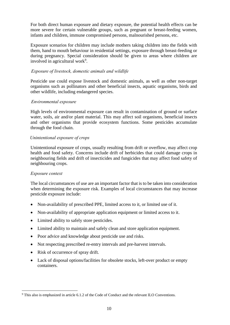For both direct human exposure and dietary exposure, the potential health effects can be more severe for certain vulnerable groups, such as pregnant or breast-feeding women, infants and children, immune compromised persons, malnourished persons, etc.

Exposure scenarios for children may include mothers taking children into the fields with them, hand to mouth behaviour in residential settings, exposure through breast-feeding or during pregnancy. Special consideration should be given to areas where children are involved in agricultural work<sup>9</sup>.

# *Exposure of livestock, domestic animals and wildlife*

Pesticide use could expose livestock and domestic animals, as well as other non-target organisms such as pollinators and other beneficial insects, aquatic organisms, birds and other wildlife, including endangered species.

## *Environmental exposure*

High levels of environmental exposure can result in contamination of ground or surface water, soils, air and/or plant material. This may affect soil organisms, beneficial insects and other organisms that provide ecosystem functions. Some pesticides accumulate through the food chain.

## *Unintentional exposure of crops*

Unintentional exposure of crops, usually resulting from drift or overflow, may affect crop health and food safety. Concerns include drift of herbicides that could damage crops in neighbouring fields and drift of insecticides and fungicides that may affect food safety of neighbouring crops.

## *Exposure context*

1

The local circumstances of use are an important factor that is to be taken into consideration when determining the exposure risk. Examples of local circumstances that may increase pesticide exposure include:

- Non-availability of prescribed PPE, limited access to it, or limited use of it.
- Non-availability of appropriate application equipment or limited access to it.
- Limited ability to safely store pesticides.
- Limited ability to maintain and safely clean and store application equipment.
- Poor advice and knowledge about pesticide use and risks.
- Not respecting prescribed re-entry intervals and pre-harvest intervals.
- Risk of occurrence of spray drift.
- Lack of disposal options/facilities for obsolete stocks, left-over product or empty containers.

<sup>9</sup> This also is emphasized in article 6.1.2 of the Code of Conduct and the relevant ILO Conventions.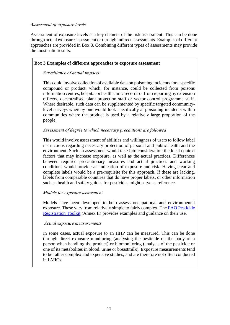## *Assessment of exposure levels*

Assessment of exposure levels is a key element of the risk assessment. This can be done through actual exposure assessment or through indirect assessments. Examples of different approaches are provided in Box 3. Combining different types of assessments may provide the most solid results.

#### **Box 3 Examples of different approaches to exposure assessment**

#### *Surveillance of actual impacts*

This could involve collection of available data on poisoning incidents for a specific compound or product, which, for instance, could be collected from poisons information centres, hospital or health clinic records or from reporting by extension officers, decentralised plant protection staff or vector control programme staff. Where desirable, such data can be supplemented by specific targeted communitylevel surveys whereby one would look specifically at poisoning incidents within communities where the product is used by a relatively large proportion of the people.

#### *Assessment of degree to which necessary precautions are followed*

This would involve assessment of abilities and willingness of users to follow label instructions regarding necessary protection of personal and public health and the environment. Such an assessment would take into consideration the local context factors that may increase exposure, as well as the actual practices. Differences between required precautionary measures and actual practices and working conditions would provide an indication of exposure and risk. Having clear and complete labels would be a pre-requisite for this approach. If these are lacking, labels from comparable countries that do have proper labels, or other information such as health and safety guides for pesticides might serve as reference.

#### *Models for exposure assessment*

Models have been developed to help assess occupational and environmental exposure. These vary from relatively simple to fairly complex. The [FAO Pesticide](http://www.fao.org/pesticide-registration-toolkit/tool)  [Registration Toolkit](http://www.fao.org/pesticide-registration-toolkit/tool) (Annex II) provides examples and guidance on their use.

#### *Actual exposure measurements*

In some cases, actual exposure to an HHP can be measured. This can be done through direct exposure monitoring (analysing the pesticide on the body of a person when handling the product) or biomonitoring (analysis of the pesticide or one of its metabolites in blood, urine or breastmilk). Exposure measurements tend to be rather complex and expensive studies, and are therefore not often conducted in LMICs.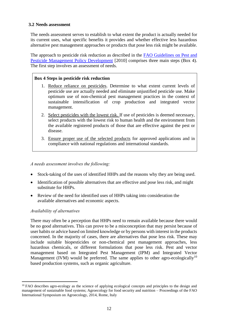# <span id="page-18-0"></span>**3.2 Needs assessment**

The needs assessment serves to establish to what extent the product is actually needed for its current uses, what specific benefits it provides and whether effective less hazardous alternative pest management approaches or products that pose less risk might be available.

The approach to pesticide risk reduction as described in the [FAO Guidelines on Pest and](http://www.fao.org/fileadmin/templates/agphome/documents/Pests_Pesticides/Code/Policy_2010.pdf)  [Pesticide Management Policy Development](http://www.fao.org/fileadmin/templates/agphome/documents/Pests_Pesticides/Code/Policy_2010.pdf) [2010] comprises three main steps (Box 4). The first step involves an assessment of needs.

# **Box 4 Steps in pesticide risk reduction**

- 1. Reduce reliance on pesticides. Determine to what extent current levels of pesticide use are actually needed and eliminate unjustified pesticide use. Make optimum use of non-chemical pest management practices in the context of sustainable intensification of crop production and integrated vector management.
- 2. Select pesticides with the lowest risk. If use of pesticides is deemed necessary, select products with the lowest risk to human health and the environment from the available registered products of those that are effective against the pest or disease.
- 3. Ensure proper use of the selected products for approved applications and in compliance with national regulations and international standards.

*A needs assessment involves the following:*

- Stock-taking of the uses of identified HHPs and the reasons why they are being used.
- Identification of possible alternatives that are effective and pose less risk, and might substitute for HHPs.
- Review of the need for identified uses of HHPs taking into consideration the available alternatives and economic aspects.

## *Availability of alternatives*

1

There may often be a perception that HHPs need to remain available because there would be no good alternatives. This can prove to be a misconception that may persist because of user habits or advice based on limited knowledge or by persons with interest in the products concerned. In the majority of cases, there are alternatives that pose less risk. These may include suitable biopesticides or non-chemical pest management approaches, less hazardous chemicals, or different formulations that pose less risk. Pest and vector management based on Integrated Pest Management (IPM) and Integrated Vector Management (IVM) would be preferred. The same applies to other agro-ecologically<sup>10</sup> based production systems, such as organic agriculture.

<sup>&</sup>lt;sup>10</sup> FAO describes agro-ecology as the science of applying ecological concepts and principles to the design and management of sustainable food systems; Agroecology for food security and nutrition – Proceedings of the FAO International Symposium on Agroecology, 2014, Rome, Italy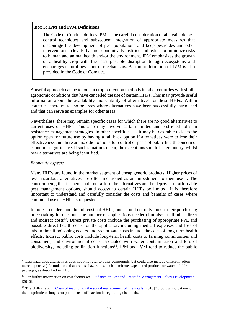## **Box 5: IPM and IVM Definitions**

The Code of Conduct defines IPM as the careful consideration of all available pest control techniques and subsequent integration of appropriate measures that discourage the development of pest populations and keep pesticides and other interventions to levels that are economically justified and reduce or minimize risks to human and animal health and/or the environment. IPM emphasizes the growth of a healthy crop with the least possible disruption to agro-ecosystems and encourages natural pest control mechanisms. A similar definition of IVM is also provided in the Code of Conduct.

A useful approach can be to look at crop protection methods in other countries with similar agronomic conditions that have cancelled the use of certain HHPs. This may provide useful information about the availability and viability of alternatives for these HHPs. Within countries, there may also be areas where alternatives have been successfully introduced and that can serve as examples for other areas.

Nevertheless, there may remain specific cases for which there are no good alternatives to current uses of HHPs. This also may involve certain limited and restricted roles in resistance management strategies. In other specific cases it may be desirable to keep the option open for future use by having a fall back option if alternatives were to lose their effectiveness and there are no other options for control of pests of public health concern or economic significance. If such situations occur, the exceptions should be temporary, whilst new alternatives are being identified.

#### *Economic aspects*

Many HHPs are found in the market segment of cheap generic products. Higher prices of less hazardous alternatives are often mentioned as an impediment to their use<sup>11</sup>. The concern being that farmers could not afford the alternatives and be deprived of affordable pest management options, should access to certain HHPs be limited. It is therefore important to understand and carefully consider the costs and benefits of cases where continued use of HHPs is requested.

In order to understand the full costs of HHPs, one should not only look at their purchasing price (taking into account the number of applications needed) but also at all other direct and indirect costs<sup>12</sup>. Direct private costs include the purchasing of appropriate PPE and possible direct health costs for the applicator, including medical expenses and loss of labour time if poisoning occurs. Indirect private costs include the costs of long-term health effects. Indirect public costs include long-term health costs to farming communities and consumers, and environmental costs associated with water contamination and loss of biodiversity, including pollination functions $13$ . IPM and IVM tend to reduce the public

<sup>&</sup>lt;sup>11</sup> Less hazardous alternatives does not only refer to other compounds, but could also include different (often more expensive) formulations that are less hazardous, such as microencapsulated products or water soluble packages, as described in 4.1.3.

 $12$  For further information on cost factors see [Guidance on Pest and Pesticide Management Policy Development](http://www.fao.org/fileadmin/templates/agphome/documents/Pests_Pesticides/Code/Policy_2010.pdf) [2010].

<sup>&</sup>lt;sup>13</sup> The UNEP report ["Costs of inaction on the sound management of chemicals \[](http://www.unep.org/chemicalsandwaste/Portals/9/Mainstreaming/CostOfInaction/Report_Cost_of_Inaction_Feb2013.pdf)2013]" provides indications of the magnitude of long term public costs of inaction in regulating chemicals.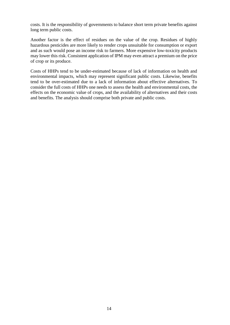costs. It is the responsibility of governments to balance short term private benefits against long term public costs.

Another factor is the effect of residues on the value of the crop. Residues of highly hazardous pesticides are more likely to render crops unsuitable for consumption or export and as such would pose an income risk to farmers. More expensive low-toxicity products may lower this risk. Consistent application of IPM may even attract a premium on the price of crop or its produce.

Costs of HHPs tend to be under-estimated because of lack of information on health and environmental impacts, which may represent significant public costs. Likewise, benefits tend to be over-estimated due to a lack of information about effective alternatives. To consider the full costs of HHPs one needs to assess the health and environmental costs, the effects on the economic value of crops, and the availability of alternatives and their costs and benefits. The analysis should comprise both private and public costs.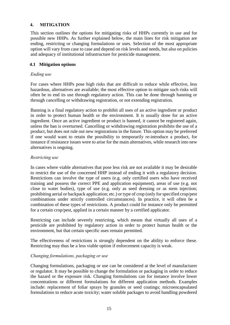#### <span id="page-21-0"></span>**4. MITIGATION**

This section outlines the options for mitigating risks of HHPs currently in use and for possible new HHPs. As further explained below, the main lines for risk mitigation are ending, restricting or changing formulations or uses. Selection of the most appropriate option will vary from case to case and depend on risk levels and needs, but also on policies and adequacy of institutional infrastructure for pesticide management.

#### <span id="page-21-1"></span> **4.1 Mitigation options**

#### *Ending use*

For cases where HHPs pose high risks that are difficult to reduce while effective, less hazardous, alternatives are available; the most effective option to mitigate such risks will often be to end its use through regulatory action. This can be done through banning or through cancelling or withdrawing registration, or not extending registration.

Banning is a final regulatory action to prohibit all uses of an active ingredient or product in order to protect human health or the environment. It is usually done for an active ingredient. Once an active ingredient or product is banned, it cannot be registered again, unless the ban is overturned. Cancelling or withdrawing registration prohibits the use of a product, but does not rule out new registrations in the future. This option may be preferred if one would want to retain the possibility to temporarily re-introduce a product, for instance if resistance issues were to arise for the main alternatives, while research into new alternatives is ongoing.

#### *Restricting use*

In cases where viable alternatives that pose less risk are not available it may be desirable to restrict the use of the concerned HHP instead of ending it with a regulatory decision. Restrictions can involve the type of users (e.g. only certified users who have received training and possess the correct PPE and application equipment), areas of use (e.g. not close to water bodies), type of use (e.g. only as seed dressing or as stem injection; prohibiting aerial or backpack application; etc.) or type of crop (only for specified crop/pest combinations under strictly controlled circumstances). In practice, it will often be a combination of these types of restrictions. A product could for instance only be permitted for a certain crop/pest, applied in a certain manner by a certified applicator.

Restricting can include severely restricting, which means that virtually all uses of a pesticide are prohibited by regulatory action in order to protect human health or the environment, but that certain specific uses remain permitted.

The effectiveness of restrictions is strongly dependent on the ability to enforce these. Restricting may thus be a less viable option if enforcement capacity is weak.

## *Changing formulations, packaging or use*

Changing formulations, packaging or use can be considered at the level of manufacturer or regulator. It may be possible to change the formulation or packaging in order to reduce the hazard or the exposure risk. Changing formulations can for instance involve lower concentrations or different formulations for different application methods. Examples include: replacement of foliar sprays by granules or seed coatings; microencapsulated formulations to reduce acute toxicity; water soluble packages to avoid handling powdered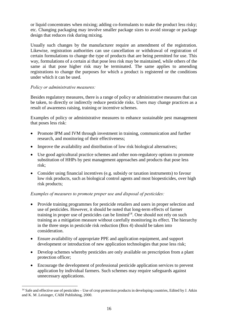or liquid concentrates when mixing; adding co-formulants to make the product less risky; etc. Changing packaging may involve smaller package sizes to avoid storage or package design that reduces risk during mixing.

Usually such changes by the manufacturer require an amendment of the registration. Likewise, registration authorities can use cancellation or withdrawal of registration of certain formulations to change the type of products that are being permitted for use. This way, formulations of a certain ai that pose less risk may be maintained, while others of the same ai that pose higher risk may be terminated. The same applies to amending registrations to change the purposes for which a product is registered or the conditions under which it can be used.

#### *Policy or administrative measures:*

Besides regulatory measures, there is a range of policy or administrative measures that can be taken, to directly or indirectly reduce pesticide risks. Users may change practices as a result of awareness raising, training or incentive schemes.

Examples of policy or administrative measures to enhance sustainable pest management that poses less risk:

- Promote IPM and IVM through investment in training, communication and further research, and monitoring of their effectiveness;
- Improve the availability and distribution of low risk biological alternatives;
- Use good agricultural practice schemes and other non-regulatory options to promote substitution of HHPs by pest management approaches and products that pose less risk;
- Consider using financial incentives (e.g. subsidy or taxation instruments) to favour low risk products, such as biological control agents and most biopesticides, over high risk products;

## *Examples of measures to promote proper use and disposal of pesticides:*

- Provide training programmes for pesticide retailers and users in proper selection and use of pesticides. However, it should be noted that long-term effects of farmer training in proper use of pesticides can be limited<sup>14</sup>. One should not rely on such training as a mitigation measure without carefully monitoring its effect. The hierarchy in the three steps in pesticide risk reduction (Box 4) should be taken into consideration.
- Ensure availability of appropriate PPE and application equipment, and support development or introduction of new application technologies that pose less risk;
- Develop schemes whereby pesticides are only available on prescription from a plant protection officer;
- Encourage the development of professional pesticide application services to prevent application by individual farmers. Such schemes may require safeguards against unnecessary applications.

<sup>&</sup>lt;u>.</u>  $14$  Safe and effective use of pesticides – Use of crop protection products in developing countries. Edited by J. Atkin and K. M .Leisinger, CABI Publishing, 2000.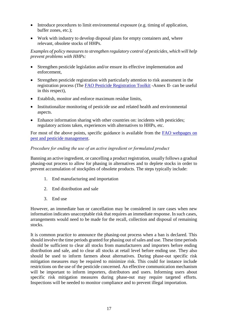- Introduce procedures to limit environmental exposure (e.g. timing of application, buffer zones, etc.);
- Work with industry to develop disposal plans for empty containers and, where relevant, obsolete stocks of HHPs.

*Examples of policy measures to strengthen regulatory control of pesticides, which will help prevent problems with HHPs:*

- Strengthen pesticide legislation and/or ensure its effective implementation and enforcement,
- Strengthen pesticide registration with particularly attention to risk assessment in the registration process (The [FAO Pesticide Registration Toolkit](http://www.fao.org/pesticide-registration-toolkit/tool) -Annex II- can be useful in this respect),
- Establish, monitor and enforce maximum residue limits,
- Institutionalize monitoring of pesticide use and related health and environmental aspects.
- Enhance information sharing with other countries on: incidents with pesticides; regulatory actions taken, experiences with alternatives to HHPs, etc.

For most of the above points, specific guidance is available from the [FAO webpages on](http://www.fao.org/agriculture/crops/thematic-sitemap/theme/pests/code/list-guide-new/en/)  [pest and pesticide management.](http://www.fao.org/agriculture/crops/thematic-sitemap/theme/pests/code/list-guide-new/en/)

## *Procedure for ending the use of an active ingredient or formulated product*

Banning an active ingredient, or cancelling a product registration, usually follows a gradual phasing-out process to allow for phasing in alternatives and to deplete stocks in order to prevent accumulation of stockpiles of obsolete products. The steps typically include:

- 1. End manufacturing and importation
- 2. End distribution and sale
- 3. End use

However, an immediate ban or cancellation may be considered in rare cases when new information indicates unacceptable risk that requires an immediate response. In such cases, arrangements would need to be made for the recall, collection and disposal of remaining stocks.

It is common practice to announce the phasing-out process when a ban is declared. This should involve the time periods granted for phasing out of sales and use. These time periods should be sufficient to clear all stocks from manufacturers and importers before ending distribution and sale, and to clear all stocks at retail level before ending use. They also should be used to inform farmers about alternatives. During phase-out specific risk mitigation measures may be required to minimize risk. This could for instance include restrictions on the use of the pesticide concerned. An effective communication mechanism will be important to inform importers, distributors and users. Informing users about specific risk mitigation measures during phase-out may require targeted efforts. Inspections will be needed to monitor compliance and to prevent illegal importation.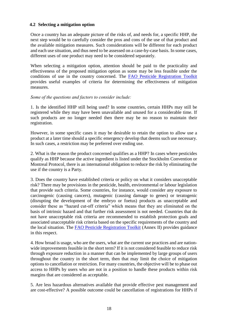#### <span id="page-24-0"></span> **4.2 Selecting a mitigation option**

Once a country has an adequate picture of the risks of, and needs for, a specific HHP, the next step would be to carefully consider the pros and cons of the use of that product and the available mitigation measures. Such considerations will be different for each product and each use situation, and thus need to be assessed on a case-by-case basis. In some cases, different uses of one product may need to be considered separately.

When selecting a mitigation option, attention should be paid to the practicality and effectiveness of the proposed mitigation option as some may be less feasible under the conditions of use in the country concerned. The [FAO Pesticide Registration Toolkit](http://www.fao.org/pesticide-registration-toolkit/tool) provides useful examples of criteria for determining the effectiveness of mitigation measures.

#### *Some of the questions and factors to consider include:*

1. Is the identified HHP still being used? In some countries, certain HHPs may still be registered while they may have been unavailable and unused for a considerable time. If such products are no longer needed then there may be no reason to maintain their registration.

However, in some specific cases it may be desirable to retain the option to allow use a product at a later time should a specific emergency develop that deems such use necessary. In such cases, a restriction may be preferred over ending use.

2. What is the reason the product concerned qualifies as a HHP? In cases where pesticides qualify as HHP because the active ingredient is listed under the Stockholm Convention or Montreal Protocol, there is an international obligation to reduce the risk by eliminating the use if the country is a Party.

3. Does the country have established criteria or policy on what it considers unacceptable risk? There may be provisions in the pesticide, health, environmental or labour legislation that provide such criteria. Some countries, for instance, would consider any exposure to carcinogenic (causing cancers), mutagenic (causing damage to genes) or teratogenic (disrupting the development of the embryo or foetus) products as unacceptable and consider these as "hazard cut-off criteria" which means that they are eliminated on the basis of intrinsic hazard and that further risk assessment is not needed. Countries that do not have unacceptable risk criteria are recommended to establish protection goals and associated unacceptable risk criteria based on the specific requirements of the country and the local situation. The [FAO Pesticide Registration Toolkit](http://www.fao.org/pesticide-registration-toolkit/tool) (Annex II) provides guidance in this respect.

4. How broad is usage, who are the users, what are the current use practices and are nationwide improvements feasible in the short term? If it is not considered feasible to reduce risk through exposure reduction in a manner that can be implemented by large groups of users throughout the country in the short term, then that may limit the choice of mitigation options to cancellation or restriction. For many countries, the objective will be to phase out access to HHPs by users who are not in a position to handle these products within risk margins that are considered as acceptable.

5. Are less hazardous alternatives available that provide effective pest management and are cost-effective? A possible outcome could be cancellation of registrations for HHPs if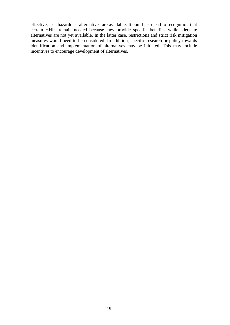effective, less hazardous, alternatives are available. It could also lead to recognition that certain HHPs remain needed because they provide specific benefits, while adequate alternatives are not yet available. In the latter case, restrictions and strict risk mitigation measures would need to be considered. In addition, specific research or policy towards identification and implementation of alternatives may be initiated. This may include incentives to encourage development of alternatives.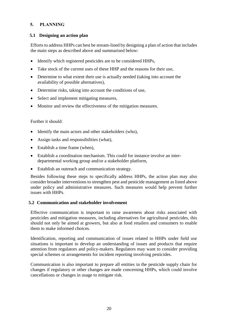# <span id="page-26-0"></span>**5. PLANNING**

## <span id="page-26-1"></span> **5.1 Designing an action plan**

Efforts to address HHPs can best be stream-lined by designing a plan of action that includes the main steps as described above and summarised below:

- Identify which registered pesticides are to be considered HHPs,
- Take stock of the current uses of these HHP and the reasons for their use,
- Determine to what extent their use is actually needed (taking into account the availability of possible alternatives),
- Determine risks, taking into account the conditions of use,
- Select and implement mitigating measures,
- Monitor and review the effectiveness of the mitigation measures.

#### Further it should:

- Identify the main actors and other stakeholders (who),
- Assign tasks and responsibilities (what),
- Establish a time frame (when),
- Establish a coordination mechanism. This could for instance involve an interdepartmental working group and/or a stakeholder platform,
- Establish an outreach and communication strategy.

Besides following these steps to specifically address HHPs, the action plan may also consider broader interventions to strengthen pest and pesticide management as listed above under policy and administrative measures. Such measures would help prevent further issues with HHPs.

#### <span id="page-26-2"></span>**5.2 Communication and stakeholder involvement**

Effective communication is important to raise awareness about risks associated with pesticides and mitigation measures, including alternatives for agricultural pesticides, this should not only be aimed at growers, but also at food retailers and consumers to enable them to make informed choices.

Identification, reporting and communication of issues related to HHPs under field use situations is important to develop an understanding of issues and products that require attention from regulators and policy-makers. Regulators may want to consider providing special schemes or arrangements for incident reporting involving pesticides.

Communication is also important to prepare all entities in the pesticide supply chain for changes if regulatory or other changes are made concerning HHPs, which could involve cancellations or changes in usage to mitigate risk.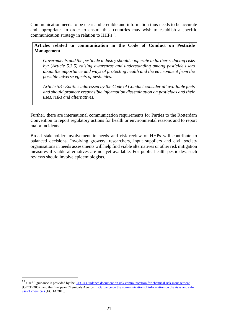Communication needs to be clear and credible and information thus needs to be accurate and appropriate. In order to ensure this, countries may wish to establish a specific communication strategy in relation to  $HHPs<sup>15</sup>$ .

# **Articles related to communication in the Code of Conduct on Pesticide Management**

*Governments and the pesticide industry should cooperate in further reducing risks by:* (*Article 5.3.5) raising awareness and understanding among pesticide users about the importance and ways of protecting health and the environment from the possible adverse effects of pesticides.*

*Article 5.4: Entities addressed by the Code of Conduct consider all available facts and should promote responsible information dissemination on pesticides and their uses, risks and alternatives.*

Further, there are international communication requirements for Parties to the Rotterdam Convention to report regulatory actions for health or environmental reasons and to report major incidents.

Broad stakeholder involvement in needs and risk review of HHPs will contribute to balanced decisions. Involving growers, researchers, input suppliers and civil society organisations in needs assessments will help find viable alternatives or other risk mitigation measures if viable alternatives are not yet available. For public health pesticides, such reviews should involve epidemiologists.

<sup>&</sup>lt;sup>15</sup> Useful guidance is provided by th[e OECD Guidance document on risk communication for chemical risk management](http://www.oecd.org/officialdocuments/publicdisplaydocumentpdf/?cote=env/jm/mono%282002%2918&doclanguage=en) [OECD 2002] and the European Chemicals Agency in Guidance on the communication of information on the risks and safe [use of chemicals \[](https://echa.europa.eu/documents/10162/13639/risk_communications_en.pdf)ECHA 2010]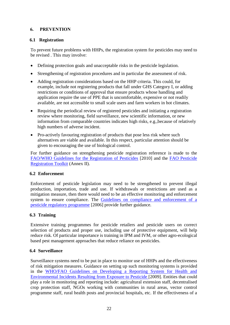# <span id="page-28-0"></span>**6. PREVENTION**

# <span id="page-28-1"></span> **6.1 Registration**

To prevent future problems with HHPs, the registration system for pesticides may need to be revised . This may involve:

- Defining protection goals and unacceptable risks in the pesticide legislation.
- Strengthening of registration procedures and in particular the assessment of risk.
- Adding registration considerations based on the HHP criteria. This could, for example, include not registering products that fall under GHS Category I, or adding restrictions or conditions of approval that ensure products whose handling and application require the use of PPE that is uncomfortable, expensive or not readily available, are not accessible to small scale users and farm workers in hot climates.
- Requiring the periodical review of registered pesticides and initiating a registration review where monitoring, field surveillance, new scientific information, or new information from comparable countries indicates high risks, e.g.,because of relatively high numbers of adverse incident.
- Pro-actively favouring registration of products that pose less risk where such alternatives are viable and available. In this respect, particular attention should be given to encouraging the use of biological control.

For further guidance on strengthening pesticide registration reference is made to the [FAO/WHO Guidelines for the Registration of Pesticides](http://www.fao.org/fileadmin/templates/agphome/documents/Pests_Pesticides/Code/Registration_2010.pdf) [2010] and the [FAO Pesticide](http://www.fao.org/pesticide-registration-toolkit/tool)  [Registration Toolkit](http://www.fao.org/pesticide-registration-toolkit/tool) (Annex II).

## <span id="page-28-2"></span> **6.2****Enforcement**

Enforcement of pesticide legislation may need to be strengthened to prevent illegal production, importation, trade and use. If withdrawals or restrictions are used as a mitigation measure, then there would need to be an effective monitoring and enforcement system to ensure compliance. The Guidelines on compliance and enforcement of a [pesticide regulatory programme](http://www.fao.org/fileadmin/templates/agphome/documents/Pests_Pesticides/Code/Compliance.pdf) [2006] provide further guidance.

# <span id="page-28-3"></span> **6.3 Training**

Extensive training programmes for pesticide retailers and pesticide users on correct selection of products and proper use, including use of protective equipment, will help reduce risk. Of particular importance is training in IPM and IVM, or other agro-ecological based pest management approaches that reduce reliance on pesticides.

## <span id="page-28-4"></span> **6.4 Surveillance**

Surveillance systems need to be put in place to monitor use of HHPs and the effectiveness of risk mitigation measures. Guidance on setting up such monitoring systems is provided in the [WHO/FAO Guidelines on Developing a Reporting System for Health and](http://www.fao.org/fileadmin/templates/agphome/documents/Pests_Pesticides/Code/Incidentreporting09.pdf)  Environmental [Incidents Resulting from Exposure to Pesticide \[](http://www.fao.org/fileadmin/templates/agphome/documents/Pests_Pesticides/Code/Incidentreporting09.pdf)2009]. Entities that could play a role in monitoring and reporting include: agricultural extension staff, decentralised crop protection staff, NGOs working with communities in rural areas, vector control programme staff, rural health posts and provincial hospitals, etc. If the effectiveness of a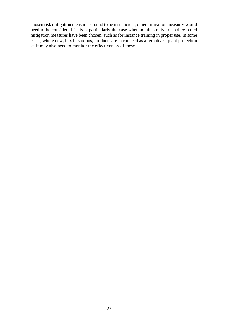chosen risk mitigation measure is found to be insufficient, other mitigation measures would need to be considered. This is particularly the case when administrative or policy based mitigation measures have been chosen, such as for instance training in proper use. In some cases, where new, less hazardous, products are introduced as alternatives, plant protection staff may also need to monitor the effectiveness of these.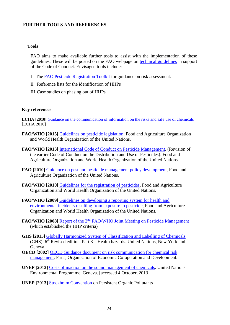#### <span id="page-30-0"></span>**FURTHER TOOLS AND REFERENCES**

#### <span id="page-30-1"></span>**Tools**

FAO aims to make available further tools to assist with the implementation of these guidelines. These will be posted on the FAO webpage on [technical guidelines](http://www.fao.org/agriculture/crops/thematic-sitemap/theme/pests/code/list-guide-new/en/) in support of the Code of Conduct. Envisaged tools include:

- I The [FAO Pesticide Registration Toolkit](http://www.fao.org/pesticide-registration-toolkit/tool) for guidance on risk assessment.
- II Reference lists for the identification of HHPs
- III Case studies on phasing out of HHPs

#### <span id="page-30-2"></span>**Key references**

**ECHA [2010]** [Guidance on the communication of information on the risks and safe use of chemicals](https://echa.europa.eu/documents/10162/13639/risk_communications_en.pdf) [ECHA 2010]

- **FAO/WHO [2015] [Guidelines on pesticide legislation,](http://www.fao.org/3/a-i5008e.pdf) Food and Agriculture Organization** and World Health Organization of the United Nations.
- **FAO/WHO [2013]** [International Code of Conduct on Pesticide Management.](http://www.fao.org/docrep/meeting/027/mg095e.pdf) (Revision of the earlier Code of Conduct on the Distribution and Use of Pesticides). Food and Agriculture Organization and World Health Organization of the United Nations.
- **FAO [2010]** [Guidance on pest and pesticide management policy development,](http://www.fao.org/fileadmin/templates/agphome/documents/Pests_Pesticides/Code/Policy_2010.pdf) Food and Agriculture Organization of the United Nations.
- **FAO/WHO [2010]** [Guidelines for the registration of pesticides,](http://www.fao.org/fileadmin/templates/agphome/documents/Pests_Pesticides/Code/Registration_2010.pdf) Food and Agriculture Organization and World Health Organization of the United Nations.
- **FAO/WHO [2009]** [Guidelines on developing a reporting system for health and](http://www.fao.org/agriculture/crops/thematic-sitemap/theme/pests/code/list-guide-new/en/)  [environmental incidents resulting from exposure to pesticide,](http://www.fao.org/agriculture/crops/thematic-sitemap/theme/pests/code/list-guide-new/en/) Food and Agriculture Organization and World Health Organization of the United Nations.
- **FAO/WHO [2008] Report of the 2<sup>nd</sup> [FAO/WHO Joint Meeting on Pesticide Management](http://www.fao.org/fileadmin/templates/agphome/documents/Pests_Pesticides/Code/Report.pdf)** (which established the HHP criteria)
- **GHS [2015]** [Globally Harmonized System of Classification and Labelling of Chemicals](http://www.unece.org/fileadmin/DAM/trans/danger/publi/ghs/ghs_rev06/English/03e_part3.pdf) (GHS). 6<sup>th</sup> Revised edition. Part 3 - Health hazards. United Nations, New York and Geneva.
- **OECD [2002] OECD Guidance document on risk communication for chemical risk** [management,](http://www.oecd.org/officialdocuments/publicdisplaydocumentpdf/?cote=env/jm/mono%282002%2918&doclanguage=en) Paris, Organisation of Economic Co-operation and Development.
- **UNEP [2013]** [Costs of inaction on the sound management of chemicals.](http://www.unep.org/hazardoussubstances/Portals/9/Mainstreaming/CostOfInaction/Report_Cost_of_Inaction_Feb2013.pdf) United Nations Environmental Programme. Geneva. [accessed 4 October, 2013]
- **UNEP [2013]** [Stockholm Convention](http://chm.pops.int/) on Persistent Organic Pollutants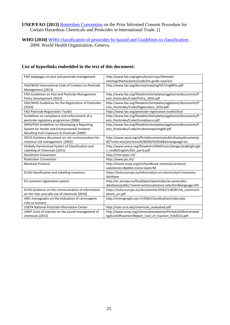# **UNEP/FAO [2013]** [Rotterdam Convention](http://www.pic.int/) on the Prior Informed Consent Procedure for Certain Hazardous Chemicals and Pesticides in International Trade. []

**WHO [2010]** [WHO classification of pesticides by hazard and Guidelines to classification](http://www.who.int/ipcs/publications/pesticides_hazard/en/) , 2009. World Health Organization, Geneva.

# **List of hyperlinks embedded in the text of this document:**

| FAO webpages on pest and pesticide management         | http://www.fao.org/agriculture/crops/thematic-                |
|-------------------------------------------------------|---------------------------------------------------------------|
|                                                       | sitemap/theme/pests/code/list-guide-new/en/                   |
| FAO/WHO International Code of Conduct on Pesticide    | http://www.fao.org/docrep/meeting/027/mg095e.pdf              |
| Management [2013]                                     |                                                               |
| FAO Guidelines on Pest and Pesticide Management       | http://www.fao.org/fileadmin/templates/agphome/documents/P    |
| Policy Development [2010]                             | ests_Pesticides/Code/Policy_2010.pdf                          |
| FAO/WHO Guidelines for the Registration of Pesticides | http://www.fao.org/fileadmin/templates/agphome/documents/P    |
| [2010]                                                | ests_Pesticides/Code/Registration_2010.pdf                    |
| FAO Pesticide Registration Toolkit                    | http://www.fao.org/pesticide-registration-toolkit/tool        |
| Guidelines on compliance and enforcement of a         | http://www.fao.org/fileadmin/templates/agphome/documents/P    |
| pesticide regulatory programme [2006]                 | ests_Pesticides/Code/Compliance.pdf                           |
| WHO/FAO Guidelines on Developing a Reporting          | http://www.fao.org/fileadmin/templates/agphome/documents/P    |
| System for Health and Environmental Incidents         | ests_Pesticides/Code/Incidentreporting09.pdf                  |
| Resulting from Exposure to Pesticide [2009]           |                                                               |
| OECD Guidance document on risk communication for      | http://www.oecd.org/officialdocuments/publicdisplaydocumentp  |
| chemical risk management [2002]                       | df/?cote=env/jm/mono%282002%2918&doclanguage=en               |
| Globally Harmonized System of Classification and      | http://www.unece.org/fileadmin/DAM/trans/danger/publi/ghs/gh  |
| Labelling of Chemicals [2015]                         | s_rev06/English/03e_part3.pdf                                 |
| <b>Stockholm Convention</b>                           | http://chm.pops.int/                                          |
| <b>Rotterdam Convention</b>                           | http://www.pic.int/                                           |
| <b>Montreal Protocol</b>                              | http://ozone.unep.org/en/handbook-montreal-protocol-          |
|                                                       | substances-deplete-ozone-layer/44                             |
| <b>ECHA Classification and Labelling Inventory</b>    | https://echa.europa.eu/information-on-chemicals/cl-inventory- |
|                                                       | database                                                      |
| EU common registration system                         | http://ec.europa.eu/food/plant/pesticides/eu-pesticides-      |
|                                                       | database/public/?event=activesubstance.selection&language=EN  |
| ECHA Guidance on the communication of information     | https://echa.europa.eu/documents/10162/13639/risk communic    |
| on the risks and safe use of chemicals [2010]         | ations en.pdf                                                 |
| IARC monographs on the evaluation of carcinogenic     | http://monographs.iarc.fr/ENG/Classification/index.php        |
| risks to humans                                       |                                                               |
| <b>USEPA National Pesticide Information Center</b>    | http://npic.orst.edu/chemicals_evaluated.pdf                  |
| UNEP Costs of inaction on the sound management of     | http://www.unep.org/chemicalsandwaste/Portals/9/Mainstreami   |
| chemicals [2013]                                      | ng/CostOfInaction/Report_Cost_of_Inaction_Feb2013.pdf         |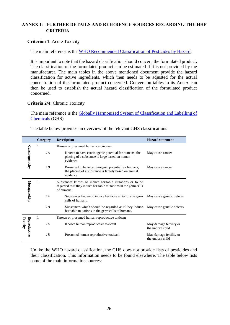# <span id="page-32-0"></span>**ANNEX I: FURTHER DETAILS AND REFERENCE SOURCES REGARDING THE HHP CRITERIA**

#### **Criterion 1**: Acute Toxicity

The main reference is the [WHO Recommended Classification of Pesticides by Hazard:](http://www.who.int/ipcs/publications/pesticides_hazard/en/)

It is important to note that the hazard classification should concern the formulated product. The classification of the formulated product can be estimated if it is not provided by the manufacturer. The main tables in the above mentioned document provide the hazard classification for active ingredients, which then needs to be adjusted for the actual concentration of the formulated product concerned. Conversion tables in its Annex can then be used to establish the actual hazard classification of the formulated product concerned.

#### **Criteria 2/4**: Chronic Toxicity

The main reference is the [Globally Harmonized System of Classification and Labelling of](http://www.unece.org/trans/danger/publi/ghs/ghs_rev06/06files_e.html)  [Chemicals](http://www.unece.org/trans/danger/publi/ghs/ghs_rev06/06files_e.html) (GHS)

The table below provides an overview of the relevant GHS classifications

|                          | Category | <b>Description</b>                                                                                                                        | <b>Hazard statement</b>                     |
|--------------------------|----------|-------------------------------------------------------------------------------------------------------------------------------------------|---------------------------------------------|
|                          | 1        | Known or presumed human carcinogen.                                                                                                       |                                             |
| Carcinogenicity          | IA       | Known to have carcinogenic potential for humans; the<br>placing of a substance is large based on human<br>evidence.                       | May cause cancer                            |
|                          | IB       | Presumed to have carcinogenic potential for humans;<br>the placing of a substance is largely based on animal<br>evidence.                 | May cause cancer                            |
| Mutageneicity            | 1        | Substances known to induce heritable mutations or to be<br>regarded as if they induce heritable mutations in the germ cells<br>of humans. |                                             |
|                          | IA       | Substances known to induce heritable mutations in germ<br>cells of humans.                                                                | May cause genetic defects                   |
|                          | IB       | Substances which should be regarded as if they induce<br>heritable mutations in the germ cells of humans.                                 | May cause genetic defects                   |
|                          | 1        | Known or presumed human reproductive toxicant                                                                                             |                                             |
| Toxicity<br>Reproductive | 1A       | Known human reproductive toxicant                                                                                                         | May damage fertility or<br>the unborn child |
|                          | IB       | Presumed human reproductive toxicant                                                                                                      | May damage fertility or<br>the unborn child |

Unlike the WHO hazard classification, the GHS does not provide lists of pesticides and their classification. This information needs to be found elsewhere. The table below lists some of the main information sources: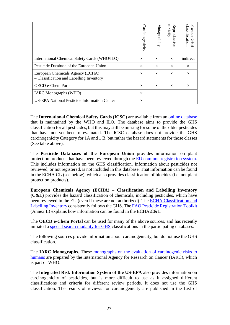|                                                                              | Carcinogenicity | Mutagenicity | toxicity<br>Reproductive | Provide<br>classification<br><b>GHS</b> |
|------------------------------------------------------------------------------|-----------------|--------------|--------------------------|-----------------------------------------|
| International Chemical Safety Cards (WHO\ILO)                                |                 | $\times$     | $\times$                 | indirect                                |
| Pesticide Database of the European Union                                     |                 | $\times$     | $\times$                 | $\times$                                |
| European Chemicals Agency (ECHA)<br>- Classification and Labelling Inventory |                 | $\times$     | $\times$                 | $\times$                                |
| OECD e-Chem Portal                                                           |                 | $\times$     | $\times$                 | $\times$                                |
| <b>IARC</b> Monographs (WHO)                                                 |                 |              |                          |                                         |
| <b>US-EPA National Pesticide Information Center</b>                          |                 |              |                          |                                         |

The **International Chemical Safety Cards (ICSC)** are available from an [online database](http://www.ilo.org/dyn/icsc/showcard.home) that is maintained by the WHO and ILO. The database aims to provide the GHS classification for all pesticides, but this may still be missing for some of the older pesticides that have not yet been re-evaluated. The ICSC database does not provide the GHS carcinogenicity Category for 1A and 1 B, but rather the hazard statements for those classes (See table above).

The **Pesticide Databases of the European Union** provides information on plant protection products that have been reviewed through the [EU common registration system.](http://ec.europa.eu/food/plant/pesticides/eu-pesticides-database/public/?event=activesubstance.selection&language=EN) This includes information on the GHS classification. Information about pesticides not reviewed, or not registered, is not included in this database. That information can be found in the ECHA CL (see below), which also provides classification of biocides (i.e. not plant protection products).

**European Chemicals Agency (ECHA) – Classification and Labelling Inventory (C&L)** provides the hazard classification of chemicals, including pesticides, which have been reviewed in the EU (even if these are not authorized). The [ECHA Classification and](https://echa.europa.eu/information-on-chemicals/cl-inventory-database)  [Labelling Inventory](https://echa.europa.eu/information-on-chemicals/cl-inventory-database) consistently follows the GHS. The [FAO Pesticide Registration Toolkit](http://www.fao.org/pesticide-registration-toolkit/tool) (Annex II) explains how information can be found in the ECHA\C&L.

The **OECD e-Chem Portal** can be used for many of the above sources, and has recently initiated a [special search modality for GHS](http://www.echemportal.org/echemportal/page.action?pageID=134) classifications in the participating databases.

The following sources provide information about carcinogenicity, but do not use the GHS classification.

The **IARC Monographs.** These [monographs on the evaluation of carcinogenic risks to](http://monographs.iarc.fr/ENG/Classification/index.php)  [humans](http://monographs.iarc.fr/ENG/Classification/index.php) are prepared by the International Agency for Research on Cancer (IARC), which is part of WHO.

The **Integrated Risk Information System of the US-EPA** also provides information on carcinogenicity of pesticides, but is more difficult to use as it assigned different classifications and criteria for different review periods. It does not use the GHS classification. The results of reviews for carcinogenicity are published in the List of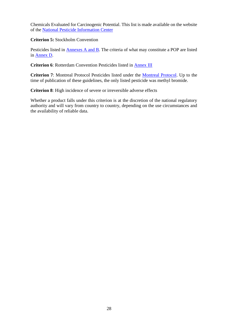Chemicals Evaluated for Carcinogenic Potential. This list is made available on the website of the [National Pesticide Information Center](http://npic.orst.edu/chemicals_evaluated.pdf) 

#### **Criterion 5:** Stockholm Convention

Pesticides listed in [Annexes A and B.](http://chm.pops.int/TheConvention/ThePOPs/ListingofPOPs/tabid/2509/Default.aspx) The criteria of what may constitute a POP are listed in [Annex D.](http://chm.pops.int/TheConvention/Overview/TextoftheConvention/tabid/2232/Default.aspx)

**Criterion 6**: Rotterdam Convention Pesticides listed in [Annex III](http://www.pic.int/TheConvention/Chemicals/AnnexIIIChemicals/tabid/1132/language/en-US/Default.aspx)

**Criterion 7**: Montreal Protocol Pesticides listed under the [Montreal Protocol.](http://ozone.unep.org/en/handbook-montreal-protocol-substances-deplete-ozone-layer/44) Up to the time of publication of these guidelines, the only listed pesticide was methyl bromide.

**Criterion 8**: High incidence of severe or irreversible adverse effects

Whether a product falls under this criterion is at the discretion of the national regulatory authority and will vary from country to country, depending on the use circumstances and the availability of reliable data.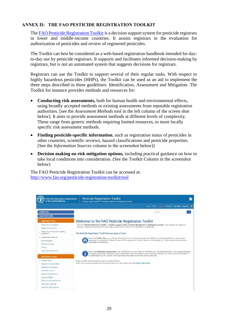#### <span id="page-35-0"></span>**ANNEX II: THE FAO PESTICIDE REGISTRATION TOOLKIT**

The [FAO Pesticide Registration Toolkit](http://www.fao.org/pesticide-registration-toolkit/tool) is a decision support system for pesticide registrars in lower and middle-income countries. It assists registrars in the evaluation for authorization of pesticides and review of registered pesticides.

The Toolkit can best be considered as a web-based registration handbook intended for dayto-day use by pesticide registrars. It supports and facilitates informed decision-making by registrars, but is not an automated system that suggests decisions for registrars.

Registrars can use the Toolkit to support several of their regular tasks. With respect to highly hazardous pesticides (HHPs), the Toolkit can be used as an aid to implement the three steps described in these guidelines: Identification, Assessment and Mitigation. The Toolkit for instance provides methods and resources for:

- **Conducting risk assessments,** both for human health and environmental effects, using broadly accepted methods or existing assessments from reputable registration authorities. [see the *Assessment Methods* tool in the left column of the screen shot below]. It aims to provide assessment methods at different levels of complexity. These range from generic methods requiring limited resources, to more locally specific risk assessment methods.
- **Finding pesticide-specific information**, such as registration status of pesticides in other countries, scientific reviews, hazard classifications and pesticide properties. [See the *Information Sources* column in the screenshot below)]
- **Decision making on risk mitigation options,** including practical guidance on how to take local conditions into consideration. (See the Toolkit Column in the screenshot below)

The FAO Pesticide Registration Toolkit can be accessed at: <http://www.fao.org/pesticide-registration-toolkit/tool>